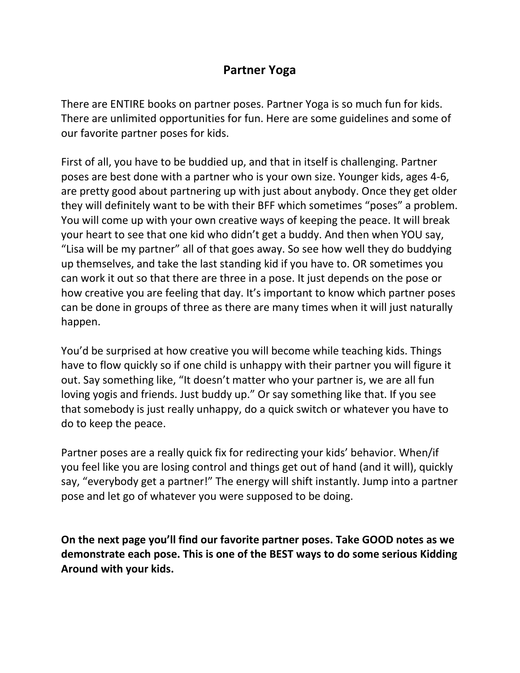#### **Partner Yoga**

There are ENTIRE books on partner poses. Partner Yoga is so much fun for kids. There are unlimited opportunities for fun. Here are some guidelines and some of our favorite partner poses for kids.

First of all, you have to be buddied up, and that in itself is challenging. Partner poses are best done with a partner who is your own size. Younger kids, ages 4-6, are pretty good about partnering up with just about anybody. Once they get older they will definitely want to be with their BFF which sometimes "poses" a problem. You will come up with your own creative ways of keeping the peace. It will break your heart to see that one kid who didn't get a buddy. And then when YOU say, "Lisa will be my partner" all of that goes away. So see how well they do buddying up themselves, and take the last standing kid if you have to. OR sometimes you can work it out so that there are three in a pose. It just depends on the pose or how creative you are feeling that day. It's important to know which partner poses can be done in groups of three as there are many times when it will just naturally happen.

You'd be surprised at how creative you will become while teaching kids. Things have to flow quickly so if one child is unhappy with their partner you will figure it out. Say something like, "It doesn't matter who your partner is, we are all fun loving yogis and friends. Just buddy up." Or say something like that. If you see that somebody is just really unhappy, do a quick switch or whatever you have to do to keep the peace.

Partner poses are a really quick fix for redirecting your kids' behavior. When/if you feel like you are losing control and things get out of hand (and it will), quickly say, "everybody get a partner!" The energy will shift instantly. Jump into a partner pose and let go of whatever you were supposed to be doing.

**On the next page you'll find our favorite partner poses. Take GOOD notes as we demonstrate each pose. This is one of the BEST ways to do some serious Kidding Around with your kids.**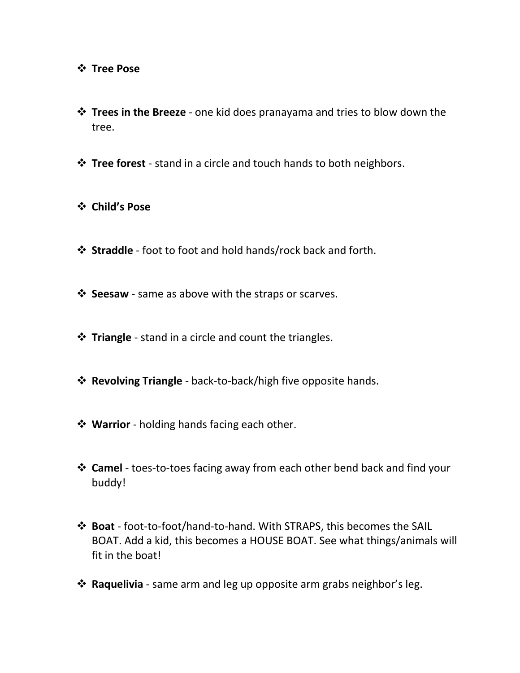#### **Tree Pose**

- **Trees in the Breeze**  one kid does pranayama and tries to blow down the tree.
- **Tree forest** stand in a circle and touch hands to both neighbors.
- **Child's Pose**
- **Straddle** foot to foot and hold hands/rock back and forth.
- $\dots$  **Seesaw** same as above with the straps or scarves.
- $\diamond$  **Triangle** stand in a circle and count the triangles.
- **Revolving Triangle**  back-to-back/high five opposite hands.
- **Warrior** holding hands facing each other.
- **Camel** toes-to-toes facing away from each other bend back and find your buddy!
- **Boat**  foot-to-foot/hand-to-hand. With STRAPS, this becomes the SAIL BOAT. Add a kid, this becomes a HOUSE BOAT. See what things/animals will fit in the boat!
- **Example 3 Figure 1.5 Paguelivia** same arm and leg up opposite arm grabs neighbor's leg.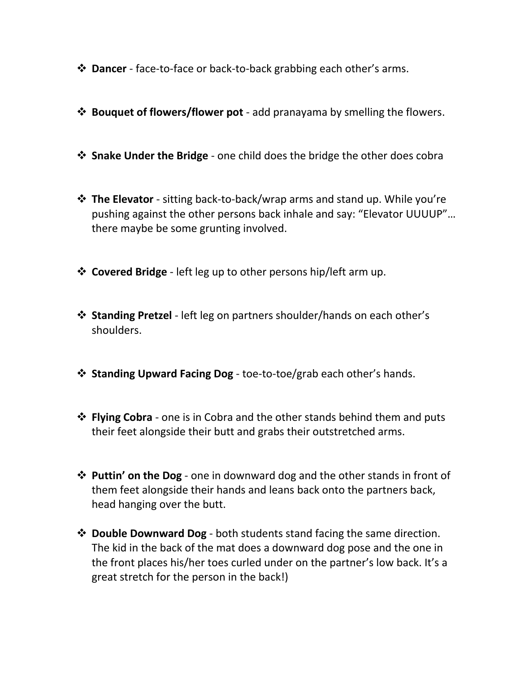- **Dancer** face-to-face or back-to-back grabbing each other's arms.
- **Bouquet of flowers/flower pot** add pranayama by smelling the flowers.
- **Snake Under the Bridge** one child does the bridge the other does cobra
- **The Elevator** sitting back-to-back/wrap arms and stand up. While you're pushing against the other persons back inhale and say: "Elevator UUUUP"… there maybe be some grunting involved.
- **Covered Bridge** left leg up to other persons hip/left arm up.
- **Standing Pretzel** left leg on partners shoulder/hands on each other's shoulders.
- **Standing Upward Facing Dog**  toe-to-toe/grab each other's hands.
- **Elying Cobra** one is in Cobra and the other stands behind them and puts their feet alongside their butt and grabs their outstretched arms.
- **Puttin' on the Dog** one in downward dog and the other stands in front of them feet alongside their hands and leans back onto the partners back, head hanging over the butt.
- **Double Downward Dog** both students stand facing the same direction. The kid in the back of the mat does a downward dog pose and the one in the front places his/her toes curled under on the partner's low back. It's a great stretch for the person in the back!)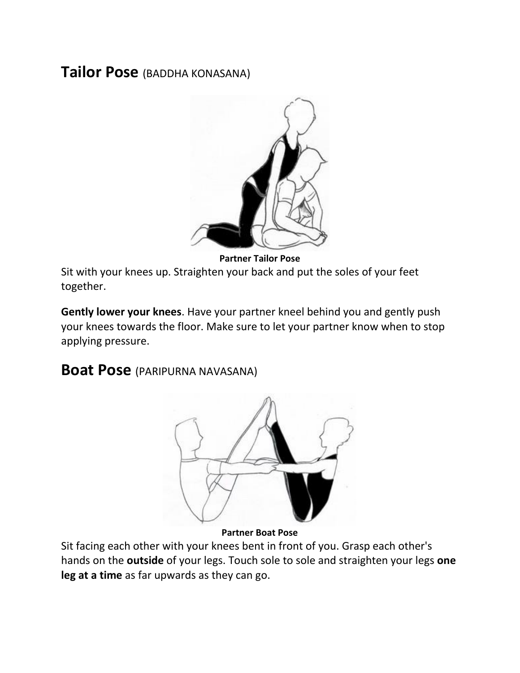## **Tailor Pose** (BADDHA KONASANA)



**Partner Tailor Pose**

Sit with your knees up. Straighten your back and put the soles of your feet together.

**Gently lower your knees**. Have your partner kneel behind you and gently push your knees towards the floor. Make sure to let your partner know when to stop applying pressure.

### **Boat Pose** (PARIPURNA NAVASANA)



**Partner Boat Pose**

Sit facing each other with your knees bent in front of you. Grasp each other's hands on the **outside** of your legs. Touch sole to sole and straighten your legs **one leg at a time** as far upwards as they can go.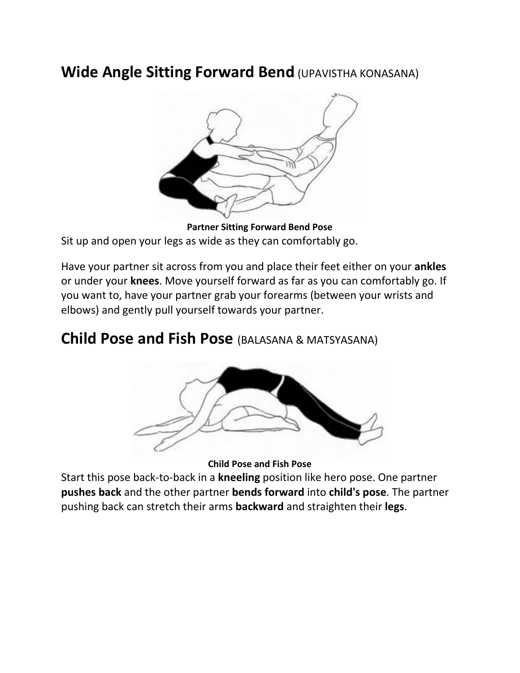# **Wide Angle Sitting Forward Bend (UPAVISTHA KONASANA)**



**Partner Sitting Forward Bend Pose** Sit up and open your legs as wide as they can comfortably go.

Have your partner sit across from you and place their feet either on your **ankles** or under your **knees**. Move yourself forward as far as you can comfortably go. If you want to, have your partner grab your forearms (between your wrists and elbows) and gently pull yourself towards your partner.

## **Child Pose and Fish Pose** (BALASANA & MATSYASANA)



**Child Pose and Fish Pose**

Start this pose back-to-back in a **kneeling** position like hero pose. One partner **pushes back** and the other partner **bends forward** into **child's pose**. The partner pushing back can stretch their arms **backward** and straighten their **legs**.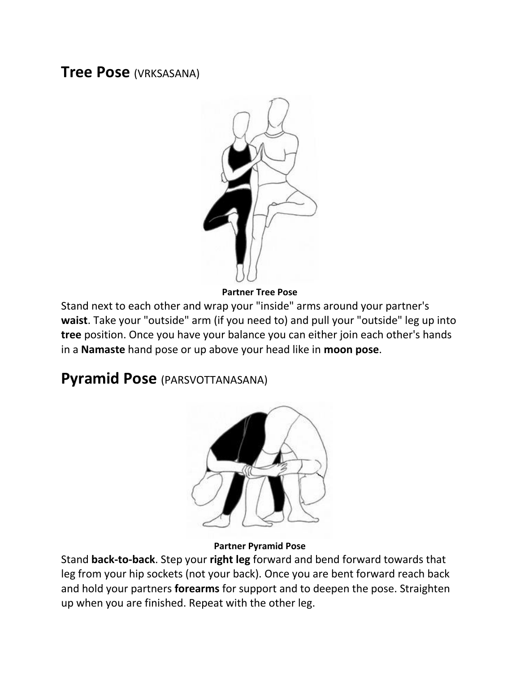### **Tree Pose** (VRKSASANA)



**Partner Tree Pose**

Stand next to each other and wrap your "inside" arms around your partner's **waist**. Take your "outside" arm (if you need to) and pull your "outside" leg up into **tree** position. Once you have your balance you can either join each other's hands in a **Namaste** hand pose or up above your head like in **moon pose**.

# **Pyramid Pose** (PARSVOTTANASANA)



#### **Partner Pyramid Pose**

Stand **back-to-back**. Step your **right leg** forward and bend forward towards that leg from your hip sockets (not your back). Once you are bent forward reach back and hold your partners **forearms** for support and to deepen the pose. Straighten up when you are finished. Repeat with the other leg.